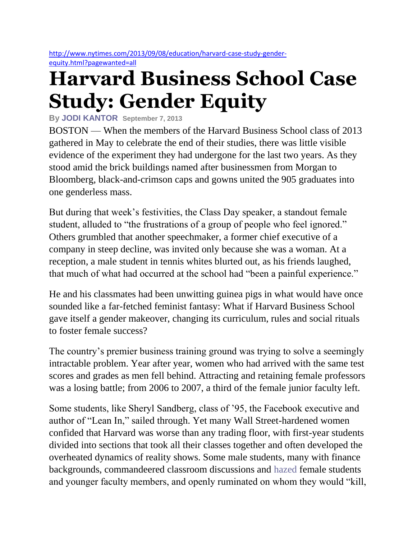[http://www.nytimes.com/2013/09/08/education/harvard-case-study-gender](http://www.nytimes.com/2013/09/08/education/harvard-case-study-gender-equity.html?pagewanted=all)[equity.html?pagewanted=all](http://www.nytimes.com/2013/09/08/education/harvard-case-study-gender-equity.html?pagewanted=all)

# **Harvard Business School Case Study: Gender Equity**

**By [JODI KANTOR](http://topics.nytimes.com/top/reference/timestopics/people/k/jodi_kantor/index.html) September 7, 2013**

BOSTON — When the members of the Harvard Business School class of 2013 gathered in May to celebrate the end of their studies, there was little visible evidence of the experiment they had undergone for the last two years. As they stood amid the brick buildings named after businessmen from Morgan to Bloomberg, black-and-crimson caps and gowns united the 905 graduates into one genderless mass.

But during that week's festivities, the Class Day speaker, a standout female student, alluded to "the frustrations of a group of people who feel ignored." Others grumbled that another speechmaker, a former chief executive of a company in steep decline, was invited only because she was a woman. At a reception, a male student in tennis whites blurted out, as his friends laughed, that much of what had occurred at the school had "been a painful experience."

He and his classmates had been unwitting guinea pigs in what would have once sounded like a far-fetched feminist fantasy: What if Harvard Business School gave itself a gender makeover, changing its curriculum, rules and social rituals to foster female success?

The country's premier business training ground was trying to solve a seemingly intractable problem. Year after year, women who had arrived with the same test scores and grades as men fell behind. Attracting and retaining female professors was a losing battle; from 2006 to 2007, a third of the female junior faculty left.

Some students, like Sheryl Sandberg, class of '95, the Facebook executive and author of "Lean In," sailed through. Yet many Wall Street-hardened women confided that Harvard was worse than any trading floor, with first-year students divided into sections that took all their classes together and often developed the overheated dynamics of reality shows. Some male students, many with finance backgrounds, commandeered classroom discussions and [hazed](http://www.inc.com/magazine/19980601/940.html) female students and younger faculty members, and openly ruminated on whom they would "kill,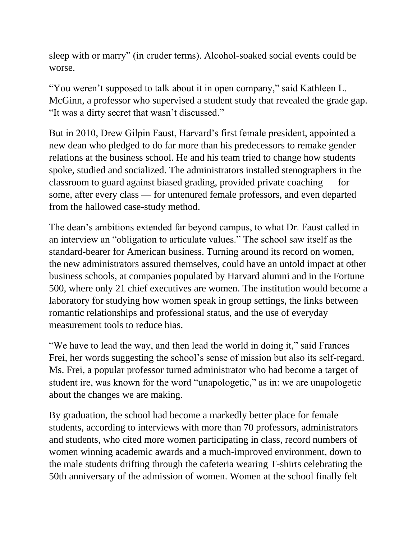sleep with or marry" (in cruder terms). Alcohol-soaked social events could be worse.

"You weren't supposed to talk about it in open company," said Kathleen L. McGinn, a professor who supervised a student study that revealed the grade gap. "It was a dirty secret that wasn't discussed."

But in 2010, Drew Gilpin Faust, Harvard's first female president, appointed a new dean who pledged to do far more than his predecessors to remake gender relations at the business school. He and his team tried to change how students spoke, studied and socialized. The administrators installed stenographers in the classroom to guard against biased grading, provided private coaching — for some, after every class — for untenured female professors, and even departed from the hallowed case-study method.

The dean's ambitions extended far beyond campus, to what Dr. Faust called in an interview an "obligation to articulate values." The school saw itself as the standard-bearer for American business. Turning around its record on women, the new administrators assured themselves, could have an untold impact at other business schools, at companies populated by Harvard alumni and in the Fortune 500, where only 21 chief executives are women. The institution would become a laboratory for studying how women speak in group settings, the links between romantic relationships and professional status, and the use of everyday measurement tools to reduce bias.

"We have to lead the way, and then lead the world in doing it," said Frances Frei, her words suggesting the school's sense of mission but also its self-regard. Ms. Frei, a popular professor turned administrator who had become a target of student ire, was known for the word "unapologetic," as in: we are unapologetic about the changes we are making.

By graduation, the school had become a markedly better place for female students, according to interviews with more than 70 professors, administrators and students, who cited more women participating in class, record numbers of women winning academic awards and a much-improved environment, down to the male students drifting through the cafeteria wearing T-shirts celebrating the 50th anniversary of the admission of women. Women at the school finally felt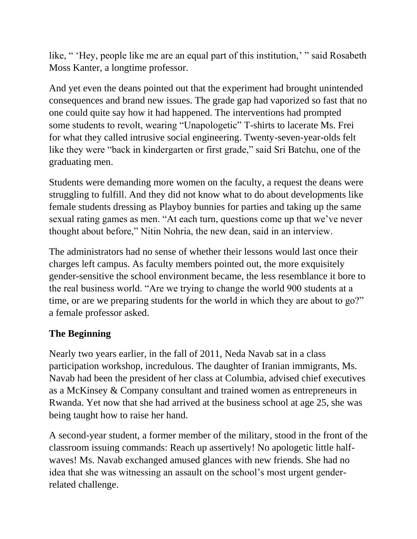like, " 'Hey, people like me are an equal part of this institution,' " said Rosabeth Moss Kanter, a longtime professor.

And yet even the deans pointed out that the experiment had brought unintended consequences and brand new issues. The grade gap had vaporized so fast that no one could quite say how it had happened. The interventions had prompted some students to revolt, wearing "Unapologetic" T-shirts to lacerate Ms. Frei for what they called intrusive social engineering. Twenty-seven-year-olds felt like they were "back in kindergarten or first grade," said Sri Batchu, one of the graduating men.

Students were demanding more women on the faculty, a request the deans were struggling to fulfill. And they did not know what to do about developments like female students dressing as Playboy bunnies for parties and taking up the same sexual rating games as men. "At each turn, questions come up that we've never thought about before," Nitin Nohria, the new dean, said in an interview.

The administrators had no sense of whether their lessons would last once their charges left campus. As faculty members pointed out, the more exquisitely gender-sensitive the school environment became, the less resemblance it bore to the real business world. "Are we trying to change the world 900 students at a time, or are we preparing students for the world in which they are about to go?" a female professor asked.

# **The Beginning**

Nearly two years earlier, in the fall of 2011, Neda Navab sat in a class participation workshop, incredulous. The daughter of Iranian immigrants, Ms. Navab had been the president of her class at Columbia, advised chief executives as a McKinsey & Company consultant and trained women as entrepreneurs in Rwanda. Yet now that she had arrived at the business school at age 25, she was being taught how to raise her hand.

A second-year student, a former member of the military, stood in the front of the classroom issuing commands: Reach up assertively! No apologetic little halfwaves! Ms. Navab exchanged amused glances with new friends. She had no idea that she was witnessing an assault on the school's most urgent genderrelated challenge.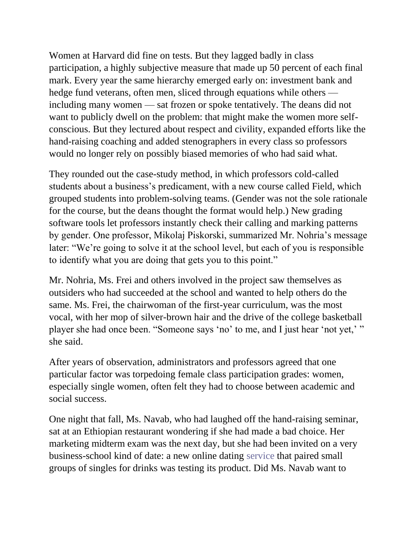Women at Harvard did fine on tests. But they lagged badly in class participation, a highly subjective measure that made up 50 percent of each final mark. Every year the same hierarchy emerged early on: investment bank and hedge fund veterans, often men, sliced through equations while others including many women — sat frozen or spoke tentatively. The deans did not want to publicly dwell on the problem: that might make the women more selfconscious. But they lectured about respect and civility, expanded efforts like the hand-raising coaching and added stenographers in every class so professors would no longer rely on possibly biased memories of who had said what.

They rounded out the case-study method, in which professors cold-called students about a business's predicament, with a new course called Field, which grouped students into problem-solving teams. (Gender was not the sole rationale for the course, but the deans thought the format would help.) New grading software tools let professors instantly check their calling and marking patterns by gender. One professor, Mikolaj Piskorski, summarized Mr. Nohria's message later: "We're going to solve it at the school level, but each of you is responsible to identify what you are doing that gets you to this point."

Mr. Nohria, Ms. Frei and others involved in the project saw themselves as outsiders who had succeeded at the school and wanted to help others do the same. Ms. Frei, the chairwoman of the first-year curriculum, was the most vocal, with her mop of silver-brown hair and the drive of the college basketball player she had once been. "Someone says 'no' to me, and I just hear 'not yet,' " she said.

After years of observation, administrators and professors agreed that one particular factor was torpedoing female class participation grades: women, especially single women, often felt they had to choose between academic and social success.

One night that fall, Ms. Navab, who had laughed off the hand-raising seminar, sat at an Ethiopian restaurant wondering if she had made a bad choice. Her marketing midterm exam was the next day, but she had been invited on a very business-school kind of date: a new online dating [service](https://www.joingrouper.com/) that paired small groups of singles for drinks was testing its product. Did Ms. Navab want to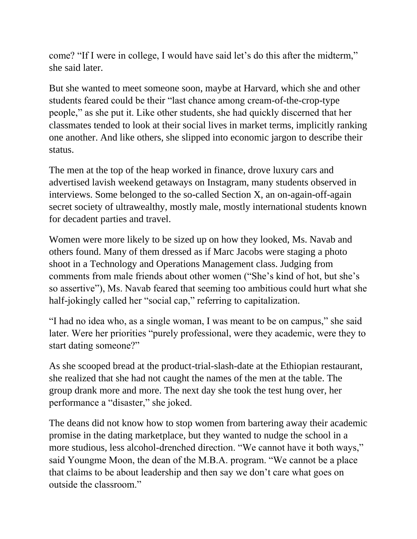come? "If I were in college, I would have said let's do this after the midterm," she said later.

But she wanted to meet someone soon, maybe at Harvard, which she and other students feared could be their "last chance among cream-of-the-crop-type people," as she put it. Like other students, she had quickly discerned that her classmates tended to look at their social lives in market terms, implicitly ranking one another. And like others, she slipped into economic jargon to describe their status.

The men at the top of the heap worked in finance, drove luxury cars and advertised lavish weekend getaways on Instagram, many students observed in interviews. Some belonged to the so-called Section X, an on-again-off-again secret society of ultrawealthy, mostly male, mostly international students known for decadent parties and travel.

Women were more likely to be sized up on how they looked, Ms. Navab and others found. Many of them dressed as if Marc Jacobs were staging a photo shoot in a Technology and Operations Management class. Judging from comments from male friends about other women ("She's kind of hot, but she's so assertive"), Ms. Navab feared that seeming too ambitious could hurt what she half-jokingly called her "social cap," referring to capitalization.

"I had no idea who, as a single woman, I was meant to be on campus," she said later. Were her priorities "purely professional, were they academic, were they to start dating someone?"

As she scooped bread at the product-trial-slash-date at the Ethiopian restaurant, she realized that she had not caught the names of the men at the table. The group drank more and more. The next day she took the test hung over, her performance a "disaster," she joked.

The deans did not know how to stop women from bartering away their academic promise in the dating marketplace, but they wanted to nudge the school in a more studious, less alcohol-drenched direction. "We cannot have it both ways," said Youngme Moon, the dean of the M.B.A. program. "We cannot be a place that claims to be about leadership and then say we don't care what goes on outside the classroom"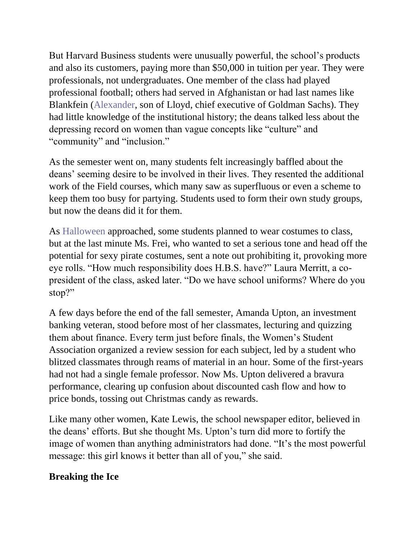But Harvard Business students were unusually powerful, the school's products and also its customers, paying more than \$50,000 in tuition per year. They were professionals, not undergraduates. One member of the class had played professional football; others had served in Afghanistan or had last names like Blankfein [\(Alexander,](http://dealbook.nytimes.com/2013/03/18/a-blankfein-wedding/?_r=0) son of Lloyd, chief executive of Goldman Sachs). They had little knowledge of the institutional history; the deans talked less about the depressing record on women than vague concepts like "culture" and "community" and "inclusion."

As the semester went on, many students felt increasingly baffled about the deans' seeming desire to be involved in their lives. They resented the additional work of the Field courses, which many saw as superfluous or even a scheme to keep them too busy for partying. Students used to form their own study groups, but now the deans did it for them.

As [Halloween](http://topics.nytimes.com/top/reference/timestopics/subjects/h/halloween/index.html?inline=nyt-classifier) approached, some students planned to wear costumes to class, but at the last minute Ms. Frei, who wanted to set a serious tone and head off the potential for sexy pirate costumes, sent a note out prohibiting it, provoking more eye rolls. "How much responsibility does H.B.S. have?" Laura Merritt, a copresident of the class, asked later. "Do we have school uniforms? Where do you stop?"

A few days before the end of the fall semester, Amanda Upton, an investment banking veteran, stood before most of her classmates, lecturing and quizzing them about finance. Every term just before finals, the Women's Student Association organized a review session for each subject, led by a student who blitzed classmates through reams of material in an hour. Some of the first-years had not had a single female professor. Now Ms. Upton delivered a bravura performance, clearing up confusion about discounted cash flow and how to price bonds, tossing out Christmas candy as rewards.

Like many other women, Kate Lewis, the school newspaper editor, believed in the deans' efforts. But she thought Ms. Upton's turn did more to fortify the image of women than anything administrators had done. "It's the most powerful message: this girl knows it better than all of you," she said.

#### **Breaking the Ice**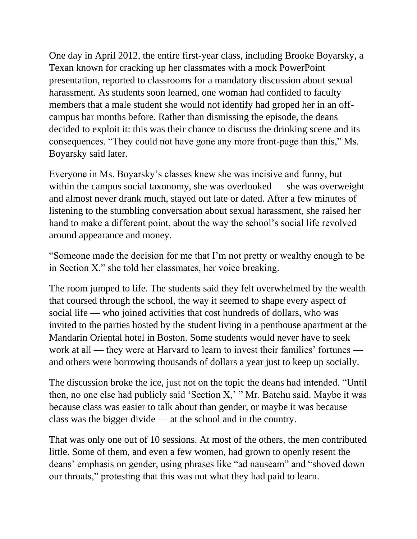One day in April 2012, the entire first-year class, including Brooke Boyarsky, a Texan known for cracking up her classmates with a mock PowerPoint presentation, reported to classrooms for a mandatory discussion about sexual harassment. As students soon learned, one woman had confided to faculty members that a male student she would not identify had groped her in an offcampus bar months before. Rather than dismissing the episode, the deans decided to exploit it: this was their chance to discuss the drinking scene and its consequences. "They could not have gone any more front-page than this," Ms. Boyarsky said later.

Everyone in Ms. Boyarsky's classes knew she was incisive and funny, but within the campus social taxonomy, she was overlooked — she was overweight and almost never drank much, stayed out late or dated. After a few minutes of listening to the stumbling conversation about sexual harassment, she raised her hand to make a different point, about the way the school's social life revolved around appearance and money.

"Someone made the decision for me that I'm not pretty or wealthy enough to be in Section X," she told her classmates, her voice breaking.

The room jumped to life. The students said they felt overwhelmed by the wealth that coursed through the school, the way it seemed to shape every aspect of social life — who joined activities that cost hundreds of dollars, who was invited to the parties hosted by the student living in a penthouse apartment at the Mandarin Oriental hotel in Boston. Some students would never have to seek work at all — they were at Harvard to learn to invest their families' fortunes and others were borrowing thousands of dollars a year just to keep up socially.

The discussion broke the ice, just not on the topic the deans had intended. "Until then, no one else had publicly said 'Section X,' " Mr. Batchu said. Maybe it was because class was easier to talk about than gender, or maybe it was because class was the bigger divide — at the school and in the country.

That was only one out of 10 sessions. At most of the others, the men contributed little. Some of them, and even a few women, had grown to openly resent the deans' emphasis on gender, using phrases like "ad nauseam" and "shoved down our throats," protesting that this was not what they had paid to learn.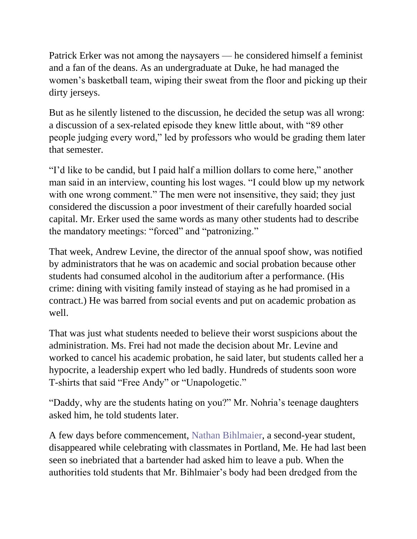Patrick Erker was not among the naysayers — he considered himself a feminist and a fan of the deans. As an undergraduate at Duke, he had managed the women's basketball team, wiping their sweat from the floor and picking up their dirty jerseys.

But as he silently listened to the discussion, he decided the setup was all wrong: a discussion of a sex-related episode they knew little about, with "89 other people judging every word," led by professors who would be grading them later that semester.

"I'd like to be candid, but I paid half a million dollars to come here," another man said in an interview, counting his lost wages. "I could blow up my network with one wrong comment." The men were not insensitive, they said; they just considered the discussion a poor investment of their carefully hoarded social capital. Mr. Erker used the same words as many other students had to describe the mandatory meetings: "forced" and "patronizing."

That week, Andrew Levine, the director of the annual spoof show, was notified by administrators that he was on academic and social probation because other students had consumed alcohol in the auditorium after a performance. (His crime: dining with visiting family instead of staying as he had promised in a contract.) He was barred from social events and put on academic probation as well.

That was just what students needed to believe their worst suspicions about the administration. Ms. Frei had not made the decision about Mr. Levine and worked to cancel his academic probation, he said later, but students called her a hypocrite, a leadership expert who led badly. Hundreds of students soon wore T-shirts that said "Free Andy" or "Unapologetic."

"Daddy, why are the students hating on you?" Mr. Nohria's teenage daughters asked him, he told students later.

A few days before commencement, [Nathan Bihlmaier,](http://www.thecrimson.com/article/2012/5/23/hbs-student-obit-bihlmaier/) a second-year student, disappeared while celebrating with classmates in Portland, Me. He had last been seen so inebriated that a bartender had asked him to leave a pub. When the authorities told students that Mr. Bihlmaier's body had been dredged from the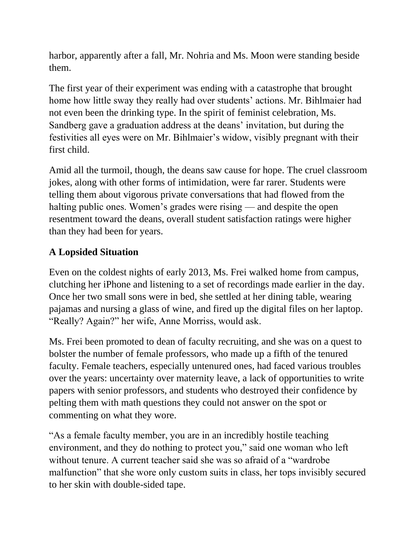harbor, apparently after a fall, Mr. Nohria and Ms. Moon were standing beside them.

The first year of their experiment was ending with a catastrophe that brought home how little sway they really had over students' actions. Mr. Bihlmaier had not even been the drinking type. In the spirit of feminist celebration, Ms. Sandberg gave a graduation address at the deans' invitation, but during the festivities all eyes were on Mr. Bihlmaier's widow, visibly pregnant with their first child.

Amid all the turmoil, though, the deans saw cause for hope. The cruel classroom jokes, along with other forms of intimidation, were far rarer. Students were telling them about vigorous private conversations that had flowed from the halting public ones. Women's grades were rising — and despite the open resentment toward the deans, overall student satisfaction ratings were higher than they had been for years.

## **A Lopsided Situation**

Even on the coldest nights of early 2013, Ms. Frei walked home from campus, clutching her iPhone and listening to a set of recordings made earlier in the day. Once her two small sons were in bed, she settled at her dining table, wearing pajamas and nursing a glass of wine, and fired up the digital files on her laptop. "Really? Again?" her wife, Anne Morriss, would ask.

Ms. Frei been promoted to dean of faculty recruiting, and she was on a quest to bolster the number of female professors, who made up a fifth of the tenured faculty. Female teachers, especially untenured ones, had faced various troubles over the years: uncertainty over maternity leave, a lack of opportunities to write papers with senior professors, and students who destroyed their confidence by pelting them with math questions they could not answer on the spot or commenting on what they wore.

"As a female faculty member, you are in an incredibly hostile teaching environment, and they do nothing to protect you," said one woman who left without tenure. A current teacher said she was so afraid of a "wardrobe" malfunction" that she wore only custom suits in class, her tops invisibly secured to her skin with double-sided tape.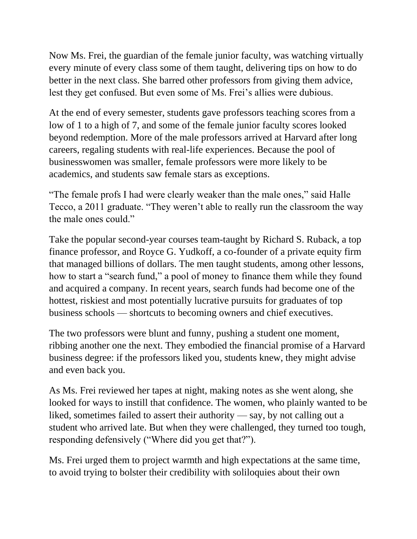Now Ms. Frei, the guardian of the female junior faculty, was watching virtually every minute of every class some of them taught, delivering tips on how to do better in the next class. She barred other professors from giving them advice, lest they get confused. But even some of Ms. Frei's allies were dubious.

At the end of every semester, students gave professors teaching scores from a low of 1 to a high of 7, and some of the female junior faculty scores looked beyond redemption. More of the male professors arrived at Harvard after long careers, regaling students with real-life experiences. Because the pool of businesswomen was smaller, female professors were more likely to be academics, and students saw female stars as exceptions.

"The female profs I had were clearly weaker than the male ones," said Halle Tecco, a 2011 graduate. "They weren't able to really run the classroom the way the male ones could."

Take the popular second-year courses team-taught by Richard S. Ruback, a top finance professor, and Royce G. Yudkoff, a co-founder of a private equity firm that managed billions of dollars. The men taught students, among other lessons, how to start a "search fund," a pool of money to finance them while they found and acquired a company. In recent years, search funds had become one of the hottest, riskiest and most potentially lucrative pursuits for graduates of top business schools — shortcuts to becoming owners and chief executives.

The two professors were blunt and funny, pushing a student one moment, ribbing another one the next. They embodied the financial promise of a Harvard business degree: if the professors liked you, students knew, they might advise and even back you.

As Ms. Frei reviewed her tapes at night, making notes as she went along, she looked for ways to instill that confidence. The women, who plainly wanted to be liked, sometimes failed to assert their authority — say, by not calling out a student who arrived late. But when they were challenged, they turned too tough, responding defensively ("Where did you get that?").

Ms. Frei urged them to project warmth and high expectations at the same time, to avoid trying to bolster their credibility with soliloquies about their own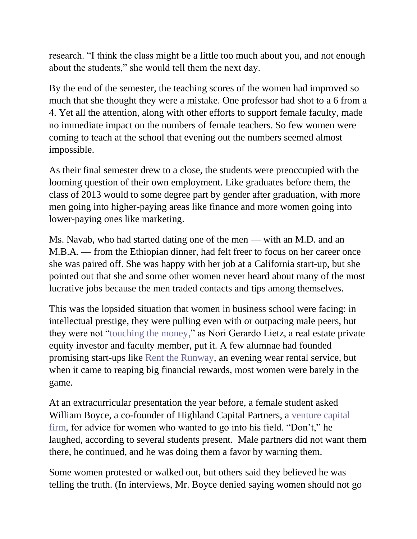research. "I think the class might be a little too much about you, and not enough about the students," she would tell them the next day.

By the end of the semester, the teaching scores of the women had improved so much that she thought they were a mistake. One professor had shot to a 6 from a 4. Yet all the attention, along with other efforts to support female faculty, made no immediate impact on the numbers of female teachers. So few women were coming to teach at the school that evening out the numbers seemed almost impossible.

As their final semester drew to a close, the students were preoccupied with the looming question of their own employment. Like graduates before them, the class of 2013 would to some degree part by gender after graduation, with more men going into higher-paying areas like finance and more women going into lower-paying ones like marketing.

Ms. Navab, who had started dating one of the men — with an M.D. and an M.B.A. — from the Ethiopian dinner, had felt freer to focus on her career once she was paired off. She was happy with her job at a California start-up, but she pointed out that she and some other women never heard about many of the most lucrative jobs because the men traded contacts and tips among themselves.

This was the lopsided situation that women in business school were facing: in intellectual prestige, they were pulling even with or outpacing male peers, but they were not ["touching the money,](http://68.234.80.80/Investments/partner_resources/CloisteredPinkGhetto.pdf)" as Nori Gerardo Lietz, a real estate private equity investor and faculty member, put it. A few alumnae had founded promising start-ups like [Rent the Runway,](http://www.renttherunway.com/) an evening wear rental service, but when it came to reaping big financial rewards, most women were barely in the game.

At an extracurricular presentation the year before, a female student asked William Boyce, a co-founder of Highland Capital Partners, a [venture capital](http://www.hcp.com/team/)  [firm,](http://www.hcp.com/team/) for advice for women who wanted to go into his field. "Don't," he laughed, according to several students present. Male partners did not want them there, he continued, and he was doing them a favor by warning them.

Some women protested or walked out, but others said they believed he was telling the truth. (In interviews, Mr. Boyce denied saying women should not go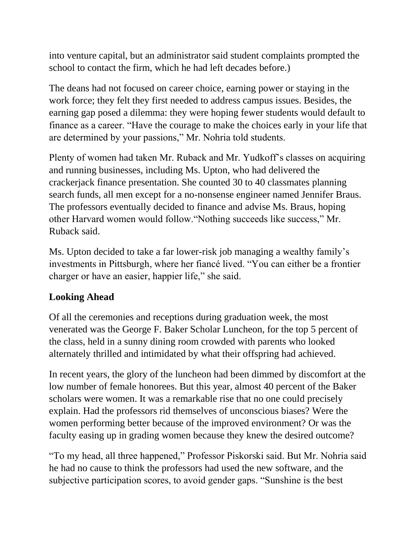into venture capital, but an administrator said student complaints prompted the school to contact the firm, which he had left decades before.)

The deans had not focused on career choice, earning power or staying in the work force; they felt they first needed to address campus issues. Besides, the earning gap posed a dilemma: they were hoping fewer students would default to finance as a career. "Have the courage to make the choices early in your life that are determined by your passions," Mr. Nohria told students.

Plenty of women had taken Mr. Ruback and Mr. Yudkoff's classes on acquiring and running businesses, including Ms. Upton, who had delivered the crackerjack finance presentation. She counted 30 to 40 classmates planning search funds, all men except for a no-nonsense engineer named Jennifer Braus. The professors eventually decided to finance and advise Ms. Braus, hoping other Harvard women would follow."Nothing succeeds like success," Mr. Ruback said.

Ms. Upton decided to take a far lower-risk job managing a wealthy family's investments in Pittsburgh, where her fiancé lived. "You can either be a frontier charger or have an easier, happier life," she said.

## **Looking Ahead**

Of all the ceremonies and receptions during graduation week, the most venerated was the George F. Baker Scholar Luncheon, for the top 5 percent of the class, held in a sunny dining room crowded with parents who looked alternately thrilled and intimidated by what their offspring had achieved.

In recent years, the glory of the luncheon had been dimmed by discomfort at the low number of female honorees. But this year, almost 40 percent of the Baker scholars were women. It was a remarkable rise that no one could precisely explain. Had the professors rid themselves of unconscious biases? Were the women performing better because of the improved environment? Or was the faculty easing up in grading women because they knew the desired outcome?

"To my head, all three happened," Professor Piskorski said. But Mr. Nohria said he had no cause to think the professors had used the new software, and the subjective participation scores, to avoid gender gaps. "Sunshine is the best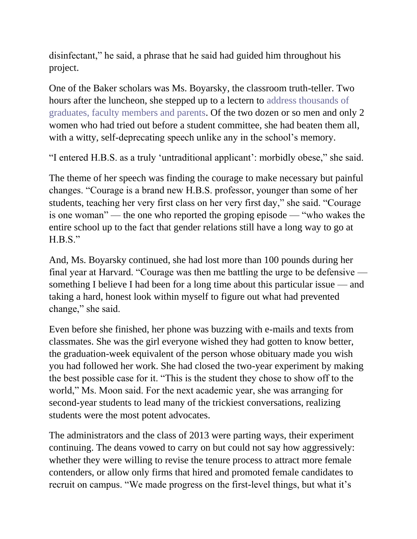disinfectant," he said, a phrase that he said had guided him throughout his project.

One of the Baker scholars was Ms. Boyarsky, the classroom truth-teller. Two hours after the luncheon, she stepped up to a lectern to [address thousands of](http://www.youtube.com/watch?v=OfaonFa5fTo)  [graduates, faculty members and parents.](http://www.youtube.com/watch?v=OfaonFa5fTo) Of the two dozen or so men and only 2 women who had tried out before a student committee, she had beaten them all, with a witty, self-deprecating speech unlike any in the school's memory.

"I entered H.B.S. as a truly 'untraditional applicant': morbidly obese," she said.

The theme of her speech was finding the courage to make necessary but painful changes. "Courage is a brand new H.B.S. professor, younger than some of her students, teaching her very first class on her very first day," she said. "Courage is one woman" — the one who reported the groping episode — "who wakes the entire school up to the fact that gender relations still have a long way to go at H.B.S."

And, Ms. Boyarsky continued, she had lost more than 100 pounds during her final year at Harvard. "Courage was then me battling the urge to be defensive something I believe I had been for a long time about this particular issue — and taking a hard, honest look within myself to figure out what had prevented change," she said.

Even before she finished, her phone was buzzing with e-mails and texts from classmates. She was the girl everyone wished they had gotten to know better, the graduation-week equivalent of the person whose obituary made you wish you had followed her work. She had closed the two-year experiment by making the best possible case for it. "This is the student they chose to show off to the world," Ms. Moon said. For the next academic year, she was arranging for second-year students to lead many of the trickiest conversations, realizing students were the most potent advocates.

The administrators and the class of 2013 were parting ways, their experiment continuing. The deans vowed to carry on but could not say how aggressively: whether they were willing to revise the tenure process to attract more female contenders, or allow only firms that hired and promoted female candidates to recruit on campus. "We made progress on the first-level things, but what it's